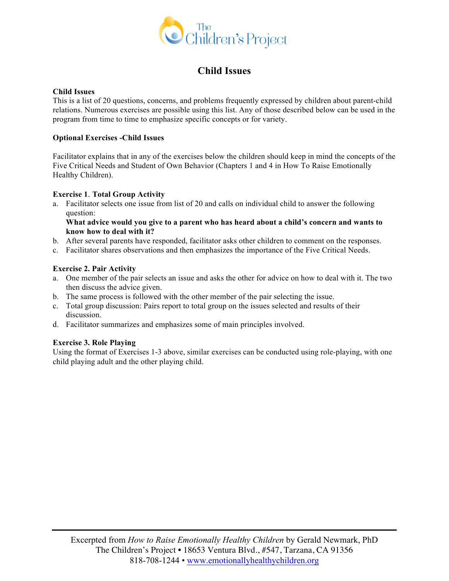

# **Child Issues**

#### **Child Issues**

This is a list of 20 questions, concerns, and problems frequently expressed by children about parent-child relations. Numerous exercises are possible using this list. Any of those described below can be used in the program from time to time to emphasize specific concepts or for variety.

#### **Optional Exercises -Child Issues**

Facilitator explains that in any of the exercises below the children should keep in mind the concepts of the Five Critical Needs and Student of Own Behavior (Chapters 1 and 4 in How To Raise Emotionally Healthy Children).

## **Exercise 1**. **Total Group Activity**

a. Facilitator selects one issue from list of 20 and calls on individual child to answer the following question:

#### **What advice would you give to a parent who has heard about a child's concern and wants to know how to deal with it?**

- b. After several parents have responded, facilitator asks other children to comment on the responses.
- c. Facilitator shares observations and then emphasizes the importance of the Five Critical Needs.

## **Exercise 2. Pair Activity**

- a. One member of the pair selects an issue and asks the other for advice on how to deal with it. The two then discuss the advice given.
- b. The same process is followed with the other member of the pair selecting the issue.
- c. Total group discussion: Pairs report to total group on the issues selected and results of their discussion.
- d. Facilitator summarizes and emphasizes some of main principles involved.

#### **Exercise 3. Role Playing**

Using the format of Exercises 1-3 above, similar exercises can be conducted using role-playing, with one child playing adult and the other playing child.